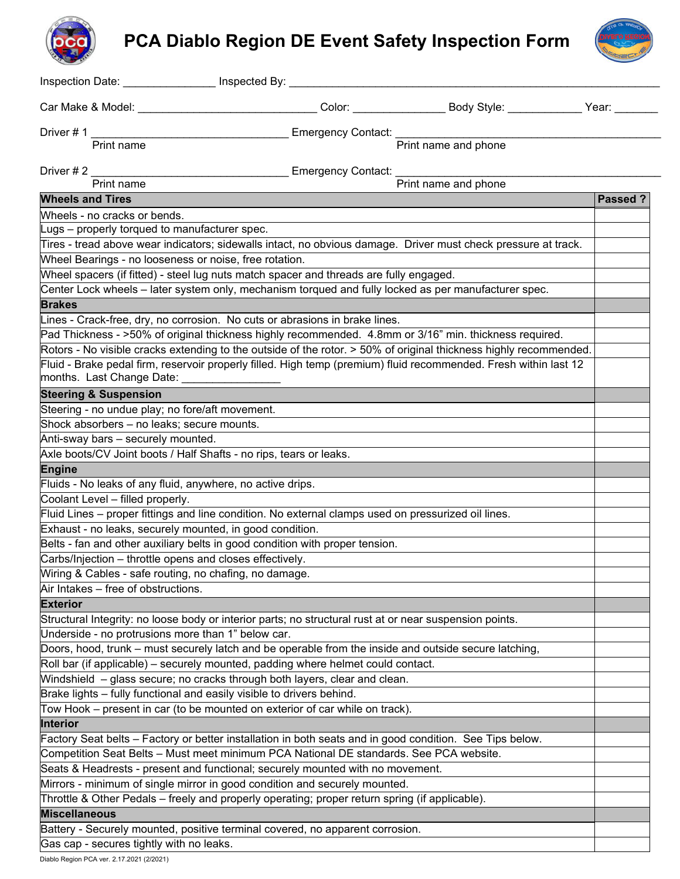# **PCA Diablo Region DE Event Safety Inspection Form**



| Inspection Date: _______________ Inspected By: _________                                                 |                               |                                                                                                                   |         |
|----------------------------------------------------------------------------------------------------------|-------------------------------|-------------------------------------------------------------------------------------------------------------------|---------|
| Car Make & Model: The Care Make Section 2014                                                             |                               |                                                                                                                   |         |
| Driver $# 1$                                                                                             | Emergency Contact: __________ |                                                                                                                   |         |
| Print name                                                                                               |                               | Print name and phone                                                                                              |         |
|                                                                                                          |                               |                                                                                                                   |         |
| Driver # 2<br>Print name                                                                                 | Emergency Contact:            | Print name and phone                                                                                              |         |
|                                                                                                          |                               |                                                                                                                   |         |
| <b>Wheels and Tires</b>                                                                                  |                               |                                                                                                                   | Passed? |
| Wheels - no cracks or bends.                                                                             |                               |                                                                                                                   |         |
| Lugs – properly torqued to manufacturer spec.                                                            |                               | Tires - tread above wear indicators; sidewalls intact, no obvious damage. Driver must check pressure at track.    |         |
| Wheel Bearings - no looseness or noise, free rotation.                                                   |                               |                                                                                                                   |         |
| Wheel spacers (if fitted) - steel lug nuts match spacer and threads are fully engaged.                   |                               |                                                                                                                   |         |
| Center Lock wheels - later system only, mechanism torqued and fully locked as per manufacturer spec.     |                               |                                                                                                                   |         |
| <b>Brakes</b>                                                                                            |                               |                                                                                                                   |         |
| Lines - Crack-free, dry, no corrosion. No cuts or abrasions in brake lines.                              |                               |                                                                                                                   |         |
|                                                                                                          |                               | Pad Thickness - >50% of original thickness highly recommended. 4.8mm or 3/16" min. thickness required.            |         |
|                                                                                                          |                               | Rotors - No visible cracks extending to the outside of the rotor. > 50% of original thickness highly recommended. |         |
|                                                                                                          |                               | Fluid - Brake pedal firm, reservoir properly filled. High temp (premium) fluid recommended. Fresh within last 12  |         |
| months. Last Change Date: _____________                                                                  |                               |                                                                                                                   |         |
| <b>Steering &amp; Suspension</b>                                                                         |                               |                                                                                                                   |         |
| Steering - no undue play; no fore/aft movement.                                                          |                               |                                                                                                                   |         |
| Shock absorbers - no leaks; secure mounts.                                                               |                               |                                                                                                                   |         |
| Anti-sway bars - securely mounted.                                                                       |                               |                                                                                                                   |         |
| Axle boots/CV Joint boots / Half Shafts - no rips, tears or leaks.                                       |                               |                                                                                                                   |         |
| <b>Engine</b>                                                                                            |                               |                                                                                                                   |         |
| Fluids - No leaks of any fluid, anywhere, no active drips.                                               |                               |                                                                                                                   |         |
| Coolant Level - filled properly.                                                                         |                               |                                                                                                                   |         |
| Fluid Lines – proper fittings and line condition. No external clamps used on pressurized oil lines.      |                               |                                                                                                                   |         |
| Exhaust - no leaks, securely mounted, in good condition.                                                 |                               |                                                                                                                   |         |
| Belts - fan and other auxiliary belts in good condition with proper tension.                             |                               |                                                                                                                   |         |
| Carbs/Injection - throttle opens and closes effectively.                                                 |                               |                                                                                                                   |         |
| Wiring & Cables - safe routing, no chafing, no damage.                                                   |                               |                                                                                                                   |         |
| Air Intakes - free of obstructions.                                                                      |                               |                                                                                                                   |         |
| <b>Exterior</b>                                                                                          |                               |                                                                                                                   |         |
| Structural Integrity: no loose body or interior parts; no structural rust at or near suspension points.  |                               |                                                                                                                   |         |
| Underside - no protrusions more than 1" below car.                                                       |                               |                                                                                                                   |         |
| Doors, hood, trunk – must securely latch and be operable from the inside and outside secure latching,    |                               |                                                                                                                   |         |
| Roll bar (if applicable) – securely mounted, padding where helmet could contact.                         |                               |                                                                                                                   |         |
| Windshield - glass secure; no cracks through both layers, clear and clean.                               |                               |                                                                                                                   |         |
| Brake lights - fully functional and easily visible to drivers behind.                                    |                               |                                                                                                                   |         |
| Tow Hook – present in car (to be mounted on exterior of car while on track).                             |                               |                                                                                                                   |         |
| Interior                                                                                                 |                               |                                                                                                                   |         |
| Factory Seat belts - Factory or better installation in both seats and in good condition. See Tips below. |                               |                                                                                                                   |         |
| Competition Seat Belts - Must meet minimum PCA National DE standards. See PCA website.                   |                               |                                                                                                                   |         |
| Seats & Headrests - present and functional; securely mounted with no movement.                           |                               |                                                                                                                   |         |
| Mirrors - minimum of single mirror in good condition and securely mounted.                               |                               |                                                                                                                   |         |
| Throttle & Other Pedals – freely and properly operating; proper return spring (if applicable).           |                               |                                                                                                                   |         |
| <b>Miscellaneous</b>                                                                                     |                               |                                                                                                                   |         |
| Battery - Securely mounted, positive terminal covered, no apparent corrosion.                            |                               |                                                                                                                   |         |
| Gas cap - secures tightly with no leaks.                                                                 |                               |                                                                                                                   |         |

Diablo Region PCA ver. 2.17.2021 (2/2021)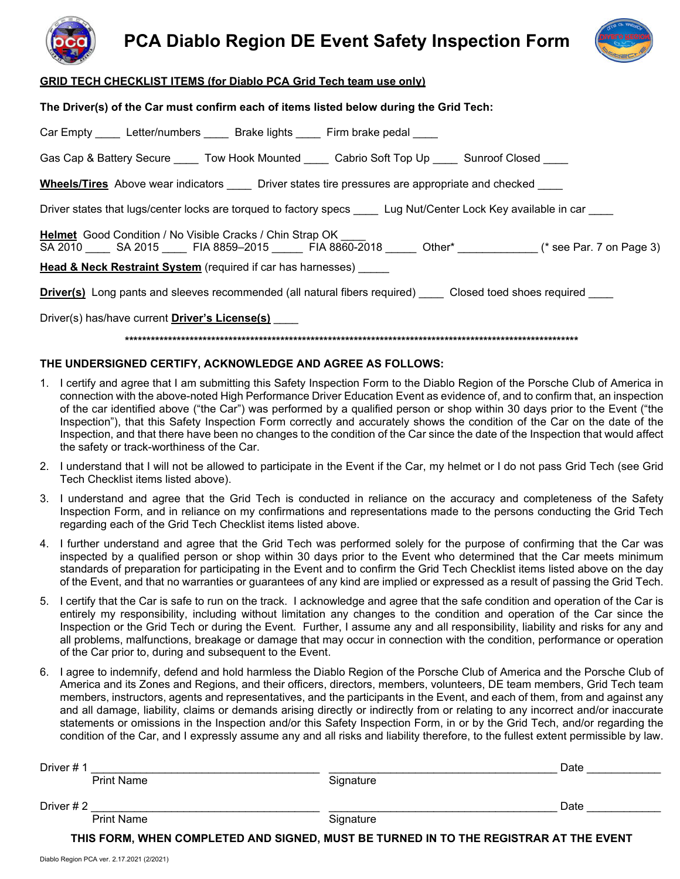



#### **GRID TECH CHECKLIST ITEMS (for Diablo PCA Grid Tech team use only)**

**The Driver(s) of the Car must confirm each of items listed below during the Grid Tech:**

| Car Empty ______ Letter/numbers ______ Brake lights _____ Firm brake pedal                                                                                                                  |  |  |  |  |  |
|---------------------------------------------------------------------------------------------------------------------------------------------------------------------------------------------|--|--|--|--|--|
| Gas Cap & Battery Secure ______ Tow Hook Mounted _____ Cabrio Soft Top Up _____ Sunroof Closed                                                                                              |  |  |  |  |  |
| <b>Wheels/Tires</b> Above wear indicators <b>Driver states tire pressures are appropriate and checked</b>                                                                                   |  |  |  |  |  |
| Driver states that lugs/center locks are torqued to factory specs ____ Lug Nut/Center Lock Key available in car ____                                                                        |  |  |  |  |  |
| <b>Helmet</b> Good Condition / No Visible Cracks / Chin Strap OK<br>SA 2010 ______ SA 2015 ______ FIA 8859-2015 _______ FIA 8860-2018 _______ Other* ______________(* see Par. 7 on Page 3) |  |  |  |  |  |
| <b>Head &amp; Neck Restraint System</b> (required if car has harnesses) ______                                                                                                              |  |  |  |  |  |
| <b>Driver(s)</b> Long pants and sleeves recommended (all natural fibers required) Closed toed shoes required                                                                                |  |  |  |  |  |
| Driver(s) has/have current Driver's License(s)                                                                                                                                              |  |  |  |  |  |

**\*\*\*\*\*\*\*\*\*\*\*\*\*\*\*\*\*\*\*\*\*\*\*\*\*\*\*\*\*\*\*\*\*\*\*\*\*\*\*\*\*\*\*\*\*\*\*\*\*\*\*\*\*\*\*\*\*\*\*\*\*\*\*\*\*\*\*\*\*\*\*\*\*\*\*\*\*\*\*\*\*\*\*\*\*\*\*\*\*\*\*\*\*\*\*\*\*\*\*\*\*\*\*\*\***

#### **THE UNDERSIGNED CERTIFY, ACKNOWLEDGE AND AGREE AS FOLLOWS:**

- 1. I certify and agree that I am submitting this Safety Inspection Form to the Diablo Region of the Porsche Club of America in connection with the above-noted High Performance Driver Education Event as evidence of, and to confirm that, an inspection of the car identified above ("the Car") was performed by a qualified person or shop within 30 days prior to the Event ("the Inspection"), that this Safety Inspection Form correctly and accurately shows the condition of the Car on the date of the Inspection, and that there have been no changes to the condition of the Car since the date of the Inspection that would affect the safety or track-worthiness of the Car.
- 2. I understand that I will not be allowed to participate in the Event if the Car, my helmet or I do not pass Grid Tech (see Grid Tech Checklist items listed above).
- 3. I understand and agree that the Grid Tech is conducted in reliance on the accuracy and completeness of the Safety Inspection Form, and in reliance on my confirmations and representations made to the persons conducting the Grid Tech regarding each of the Grid Tech Checklist items listed above.
- 4. I further understand and agree that the Grid Tech was performed solely for the purpose of confirming that the Car was inspected by a qualified person or shop within 30 days prior to the Event who determined that the Car meets minimum standards of preparation for participating in the Event and to confirm the Grid Tech Checklist items listed above on the day of the Event, and that no warranties or guarantees of any kind are implied or expressed as a result of passing the Grid Tech.
- 5. I certify that the Car is safe to run on the track. I acknowledge and agree that the safe condition and operation of the Car is entirely my responsibility, including without limitation any changes to the condition and operation of the Car since the Inspection or the Grid Tech or during the Event. Further, I assume any and all responsibility, liability and risks for any and all problems, malfunctions, breakage or damage that may occur in connection with the condition, performance or operation of the Car prior to, during and subsequent to the Event.
- 6. I agree to indemnify, defend and hold harmless the Diablo Region of the Porsche Club of America and the Porsche Club of America and its Zones and Regions, and their officers, directors, members, volunteers, DE team members, Grid Tech team members, instructors, agents and representatives, and the participants in the Event, and each of them, from and against any and all damage, liability, claims or demands arising directly or indirectly from or relating to any incorrect and/or inaccurate statements or omissions in the Inspection and/or this Safety Inspection Form, in or by the Grid Tech, and/or regarding the condition of the Car, and I expressly assume any and all risks and liability therefore, to the fullest extent permissible by law.

| Driver #1                                                                             |                   |           | Date |  |  |
|---------------------------------------------------------------------------------------|-------------------|-----------|------|--|--|
|                                                                                       | <b>Print Name</b> | Signature |      |  |  |
| Driver # 2                                                                            |                   |           | Date |  |  |
|                                                                                       | <b>Print Name</b> | Signature |      |  |  |
|                                                                                       |                   |           |      |  |  |
| THIS FORM, WHEN COMPLETED AND SIGNED, MUST BE TURNED IN TO THE REGISTRAR AT THE EVENT |                   |           |      |  |  |